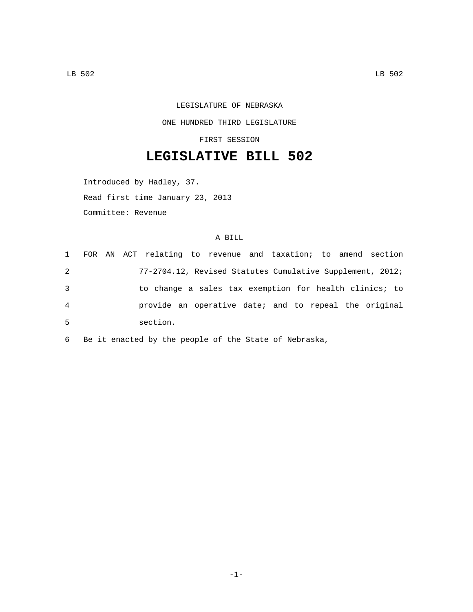LEGISLATURE OF NEBRASKA ONE HUNDRED THIRD LEGISLATURE

FIRST SESSION

## **LEGISLATIVE BILL 502**

Introduced by Hadley, 37.

Read first time January 23, 2013

Committee: Revenue

## A BILL

| 1 |  |          | FOR AN ACT relating to revenue and taxation; to amend section |  |  |  |  |
|---|--|----------|---------------------------------------------------------------|--|--|--|--|
| 2 |  |          | 77-2704.12, Revised Statutes Cumulative Supplement, 2012;     |  |  |  |  |
| 3 |  |          | to change a sales tax exemption for health clinics; to        |  |  |  |  |
| 4 |  |          | provide an operative date; and to repeal the original         |  |  |  |  |
| 5 |  | section. |                                                               |  |  |  |  |

6 Be it enacted by the people of the State of Nebraska,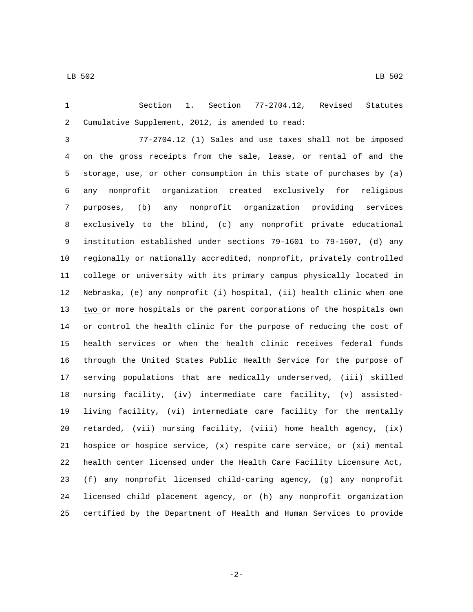Section 1. Section 77-2704.12, Revised Statutes 2 Cumulative Supplement, 2012, is amended to read:

 77-2704.12 (1) Sales and use taxes shall not be imposed on the gross receipts from the sale, lease, or rental of and the storage, use, or other consumption in this state of purchases by (a) any nonprofit organization created exclusively for religious purposes, (b) any nonprofit organization providing services exclusively to the blind, (c) any nonprofit private educational institution established under sections 79-1601 to 79-1607, (d) any regionally or nationally accredited, nonprofit, privately controlled college or university with its primary campus physically located in Nebraska, (e) any nonprofit (i) hospital, (ii) health clinic when one 13 two or more hospitals or the parent corporations of the hospitals own or control the health clinic for the purpose of reducing the cost of health services or when the health clinic receives federal funds through the United States Public Health Service for the purpose of serving populations that are medically underserved, (iii) skilled nursing facility, (iv) intermediate care facility, (v) assisted- living facility, (vi) intermediate care facility for the mentally retarded, (vii) nursing facility, (viii) home health agency, (ix) hospice or hospice service, (x) respite care service, or (xi) mental health center licensed under the Health Care Facility Licensure Act, (f) any nonprofit licensed child-caring agency, (g) any nonprofit licensed child placement agency, or (h) any nonprofit organization certified by the Department of Health and Human Services to provide

-2-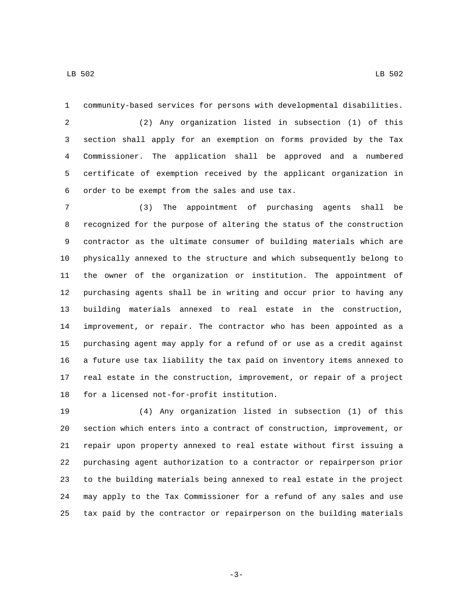community-based services for persons with developmental disabilities.

 (2) Any organization listed in subsection (1) of this section shall apply for an exemption on forms provided by the Tax Commissioner. The application shall be approved and a numbered certificate of exemption received by the applicant organization in 6 order to be exempt from the sales and use tax.

 (3) The appointment of purchasing agents shall be recognized for the purpose of altering the status of the construction contractor as the ultimate consumer of building materials which are physically annexed to the structure and which subsequently belong to the owner of the organization or institution. The appointment of purchasing agents shall be in writing and occur prior to having any building materials annexed to real estate in the construction, improvement, or repair. The contractor who has been appointed as a purchasing agent may apply for a refund of or use as a credit against a future use tax liability the tax paid on inventory items annexed to real estate in the construction, improvement, or repair of a project 18 for a licensed not-for-profit institution.

 (4) Any organization listed in subsection (1) of this section which enters into a contract of construction, improvement, or repair upon property annexed to real estate without first issuing a purchasing agent authorization to a contractor or repairperson prior to the building materials being annexed to real estate in the project may apply to the Tax Commissioner for a refund of any sales and use tax paid by the contractor or repairperson on the building materials

LB 502 LB 502

-3-